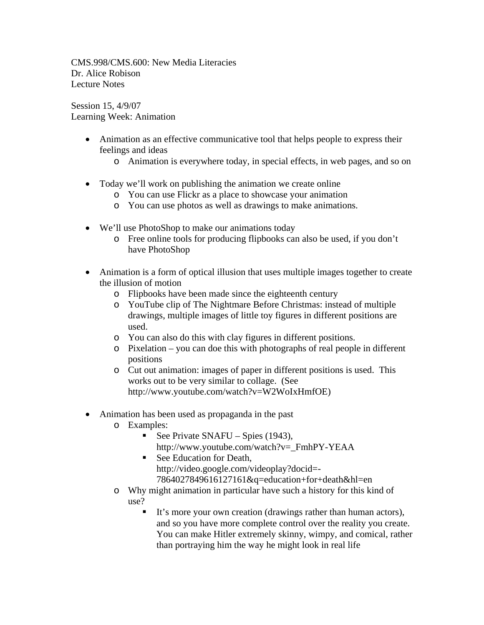CMS.998/CMS.600: New Media Literacies Dr. Alice Robison Lecture Notes

Session 15, 4/9/07 Learning Week: Animation

- Animation as an effective communicative tool that helps people to express their feelings and ideas
	- o Animation is everywhere today, in special effects, in web pages, and so on
- Today we'll work on publishing the animation we create online
	- o You can use Flickr as a place to showcase your animation
	- o You can use photos as well as drawings to make animations.
- We'll use PhotoShop to make our animations today
	- o Free online tools for producing flipbooks can also be used, if you don't have PhotoShop
- Animation is a form of optical illusion that uses multiple images together to create the illusion of motion
	- o Flipbooks have been made since the eighteenth century
	- o YouTube clip of The Nightmare Before Christmas: instead of multiple drawings, multiple images of little toy figures in different positions are used.
	- o You can also do this with clay figures in different positions.
	- o Pixelation you can doe this with photographs of real people in different positions
	- o Cut out animation: images of paper in different positions is used. This works out to be very similar to collage. (See http://www.youtube.com/watch?v=W2WoIxHmfOE)
- Animation has been used as propaganda in the past
	- o Examples:
		- See Private SNAFU Spies  $(1943)$ , http://www.youtube.com/watch?v=\_FmhPY-YEAA
		- See Education for Death. http://video.google.com/videoplay?docid=- 7864027849616127161&q=education+for+death&hl=en
	- o Why might animation in particular have such a history for this kind of use?
		- It's more your own creation (drawings rather than human actors), and so you have more complete control over the reality you create. You can make Hitler extremely skinny, wimpy, and comical, rather than portraying him the way he might look in real life